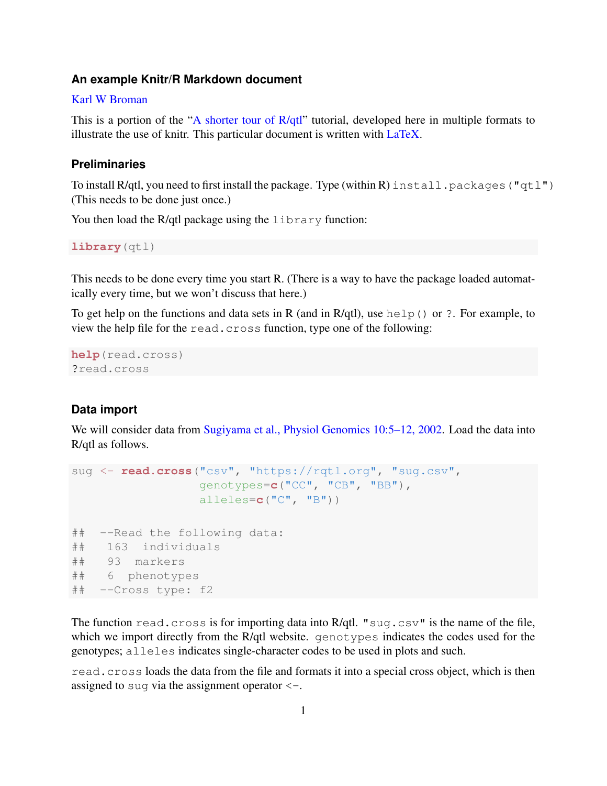### **An example Knitr/R Markdown document**

### [Karl W Broman](https://kbroman.org)

This is a portion of the ["A shorter tour of R/qtl"](https://rqtl.org/rqtltour2.pdf) tutorial, developed here in multiple formats to illustrate the use of knitr. This particular document is written with [LaTeX.](http://www.latex-project.org)

### **Preliminaries**

To install R/qtl, you need to first install the package. Type (within R) install.packages("qtl") (This needs to be done just once.)

You then load the R/qtl package using the library function:

**library**(qtl)

This needs to be done every time you start R. (There is a way to have the package loaded automatically every time, but we won't discuss that here.)

To get help on the functions and data sets in R (and in R/qtl), use help() or ?. For example, to view the help file for the read.cross function, type one of the following:

```
help(read.cross)
?read.cross
```
### **Data import**

We will consider data from [Sugiyama et al., Physiol Genomics 10:5–12, 2002.](https://www.ncbi.nlm.nih.gov/pubmed/12118100) Load the data into R/qtl as follows.

```
sug <- read.cross("csv", "https://rqtl.org", "sug.csv",
                 genotypes=c("CC", "CB", "BB"),
                 alleles=c("C", "B"))
## --Read the following data:
## 163 individuals
## 93 markers
## 6 phenotypes
## --Cross type: f2
```
The function read.cross is for importing data into R/qtl. "sug.csv" is the name of the file, which we import directly from the R/qtl website. genotypes indicates the codes used for the genotypes; alleles indicates single-character codes to be used in plots and such.

read.cross loads the data from the file and formats it into a special cross object, which is then assigned to sug via the assignment operator  $\leq -$ .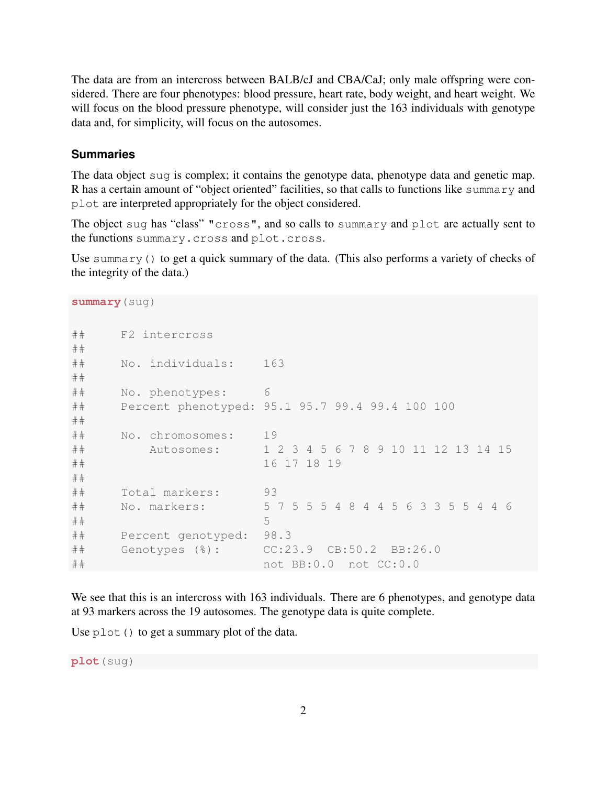The data are from an intercross between BALB/cJ and CBA/CaJ; only male offspring were considered. There are four phenotypes: blood pressure, heart rate, body weight, and heart weight. We will focus on the blood pressure phenotype, will consider just the 163 individuals with genotype data and, for simplicity, will focus on the autosomes.

### **Summaries**

The data object sug is complex; it contains the genotype data, phenotype data and genetic map. R has a certain amount of "object oriented" facilities, so that calls to functions like summary and plot are interpreted appropriately for the object considered.

The object sug has "class" "cross", and so calls to summary and plot are actually sent to the functions summary.cross and plot.cross.

Use summary() to get a quick summary of the data. (This also performs a variety of checks of the integrity of the data.)

```
summary(sug)
## F2 intercross
##
## No. individuals: 163
##
## No. phenotypes: 6
## Percent phenotyped: 95.1 95.7 99.4 99.4 100 100
##
## No. chromosomes: 19
## Autosomes: 1 2 3 4 5 6 7 8 9 10 11 12 13 14 15
## 16 17 18 19
##
## Total markers: 93
## No. markers: 5 7 5 5 5 4 8 4 4 5 6 3 3 5 5 4 4 6
## 5
## Percent genotyped: 98.3
## Genotypes (%): CC:23.9 CB:50.2 BB:26.0
## not BB:0.0 not CC:0.0
```
We see that this is an intercross with 163 individuals. There are 6 phenotypes, and genotype data at 93 markers across the 19 autosomes. The genotype data is quite complete.

Use  $p$ lot() to get a summary plot of the data.

**plot**(sug)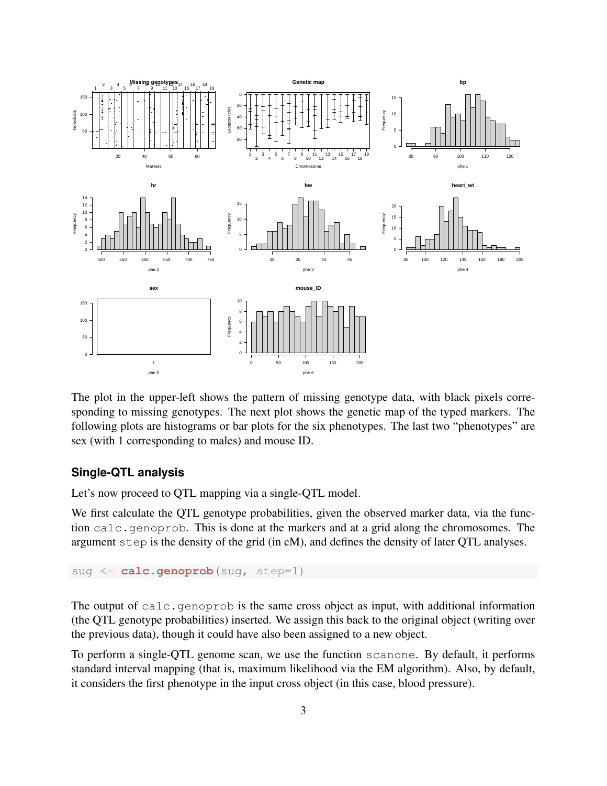

The plot in the upper-left shows the pattern of missing genotype data, with black pixels corresponding to missing genotypes. The next plot shows the genetic map of the typed markers. The following plots are histograms or bar plots for the six phenotypes. The last two "phenotypes" are sex (with 1 corresponding to males) and mouse ID.

# **Single-QTL analysis**

Let's now proceed to OTL mapping via a single-OTL model.

We first calculate the QTL genotype probabilities, given the observed marker data, via the function calc.genoprob. This is done at the markers and at a grid along the chromosomes. The argument step is the density of the grid (in cM), and defines the density of later QTL analyses.

```
sug <- calc.genoprob(sug, step=1)
```
The output of calc.genoprob is the same cross object as input, with additional information (the QTL genotype probabilities) inserted. We assign this back to the original object (writing over the previous data), though it could have also been assigned to a new object.

To perform a single-QTL genome scan, we use the function scanone. By default, it performs standard interval mapping (that is, maximum likelihood via the EM algorithm). Also, by default, it considers the first phenotype in the input cross object (in this case, blood pressure).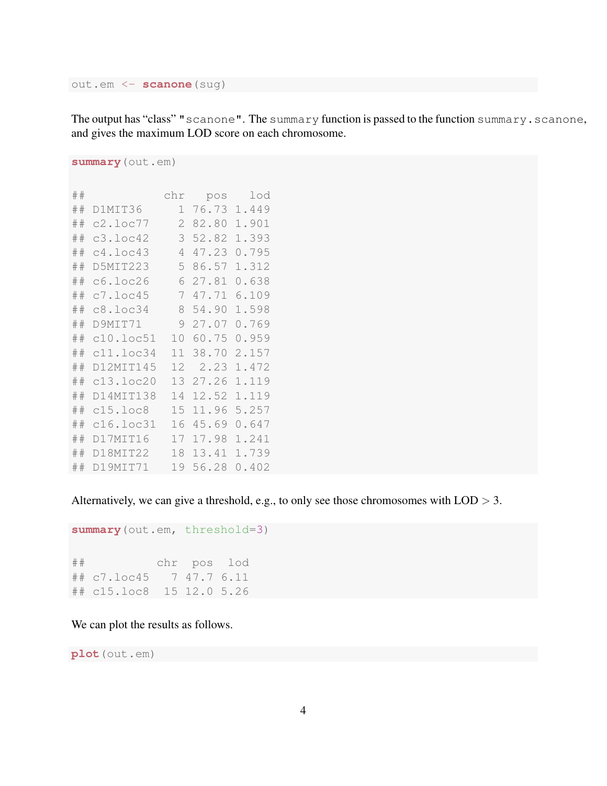out.em <- **scanone**(sug)

The output has "class" "scanone". The summary function is passed to the function summary.scanone, and gives the maximum LOD score on each chromosome.

```
summary(out.em)
```

| ## |                | chr | pos   | lod   |
|----|----------------|-----|-------|-------|
| ## | D1MIT36        | 1   | 76.73 | 1.449 |
| ## | c2.loc77       | 2   | 82.80 | 1.901 |
| ## | c3.loc42       | 3   | 52.82 | 1.393 |
| ## | c4.loc43       | 4   | 47.23 | 0.795 |
| ## | D5MIT223       | 5   | 86.57 | 1.312 |
| ## | c6.loc26       | 6   | 27.81 | 0.638 |
| ## | c7.loc45       | 7   | 47.71 | 6.109 |
| ## | c8.loc34       | 8   | 54.90 | 1.598 |
| ## | D9MIT71        | 9   | 27.07 | 0.769 |
| ## | c10.loc51      | 10  | 60.75 | 0.959 |
| ## | c11.loc34      | 11  | 38.70 | 2.157 |
| ## | D12MTT145      | 12  | 2.23  | 1.472 |
| ## | c13.loc20      | 1.3 | 27.26 | 1.119 |
| ## | D14MIT138      | 14  | 12.52 | 1.119 |
| ## | $c15.$ loc $8$ | 1.5 | 11.96 | 5.257 |
| ## | c16.loc31      | 16  | 45.69 | 0.647 |
| ## | D17MIT16       | 17  | 17.98 | 1.241 |
| ## | D18MIT22       | 18  | 13.41 | 1.739 |
| ## | D19MIT71       | 19  | 56.28 | 0.402 |

Alternatively, we can give a threshold, e.g., to only see those chromosomes with  $\text{LOD} > 3$ .

```
summary(out.em, threshold=3)
## chr pos lod
## c7.loc45 7 47.7 6.11
## c15.loc8 15 12.0 5.26
```
We can plot the results as follows.

**plot**(out.em)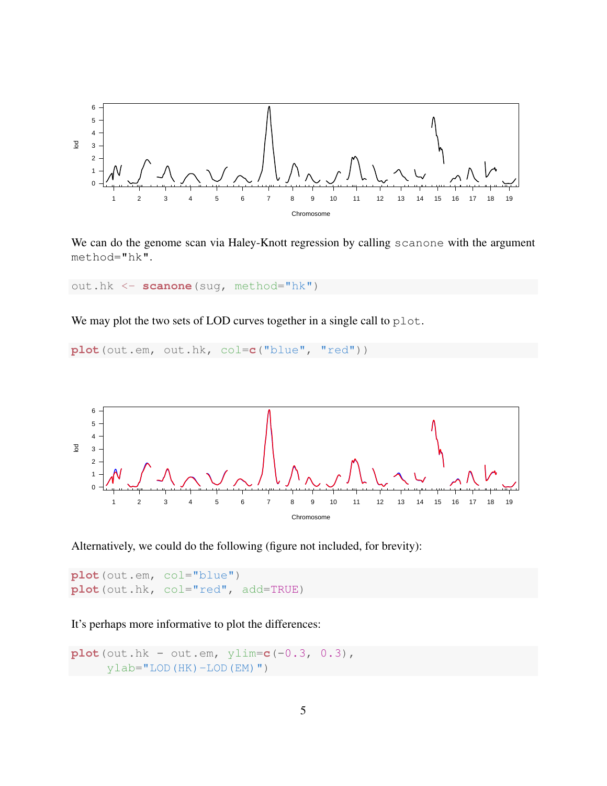

We can do the genome scan via Haley-Knott regression by calling scanone with the argument method="hk".

out.hk <- **scanone**(sug, method="hk")

We may plot the two sets of LOD curves together in a single call to plot.

**plot**(out.em, out.hk, col=**c**("blue", "red"))



Alternatively, we could do the following (figure not included, for brevity):

**plot**(out.em, col="blue") **plot**(out.hk, col="red", add=TRUE)

It's perhaps more informative to plot the differences:

```
plot(out.hk - out.em, ylim=c(-0.3, 0.3),
     ylab="LOD(HK)-LOD(EM)")
```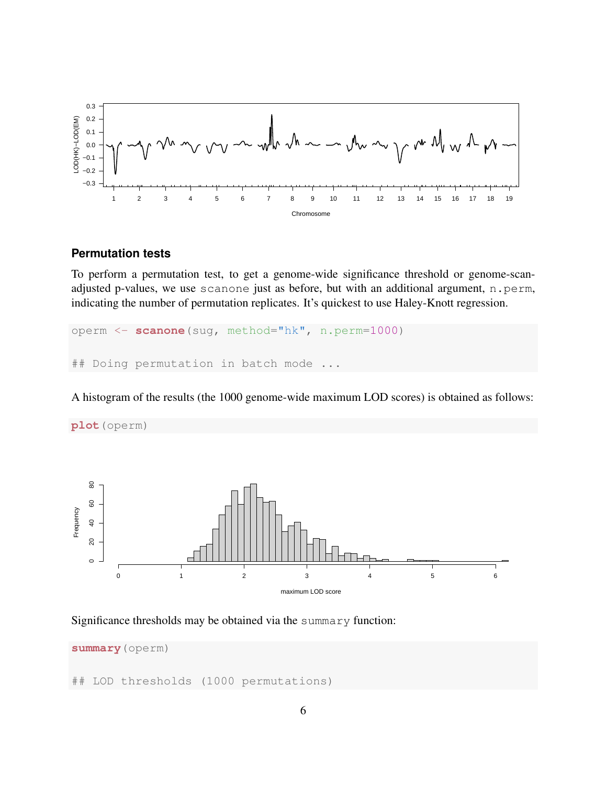

# **Permutation tests**

To perform a permutation test, to get a genome-wide significance threshold or genome-scanadjusted p-values, we use scanone just as before, but with an additional argument, n.perm, indicating the number of permutation replicates. It's quickest to use Haley-Knott regression.

operm <- **scanone**(sug, method="hk", n.perm=1000) ## Doing permutation in batch mode

A histogram of the results (the 1000 genome-wide maximum LOD scores) is obtained as follows:



#### Significance thresholds may be obtained via the summary function:

**summary**(operm) ## LOD thresholds (1000 permutations)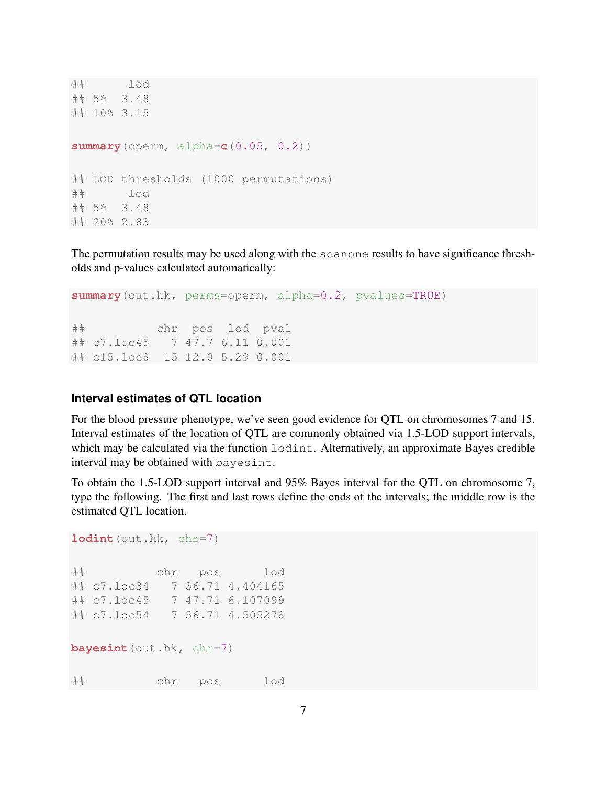```
## ] \circ d## 5% 3.48
## 10% 3.15
summary(operm, alpha=c(0.05, 0.2))
## LOD thresholds (1000 permutations)
## lod
## 5% 3.48
## 20% 2.83
```
The permutation results may be used along with the scanone results to have significance thresholds and p-values calculated automatically:

```
summary(out.hk, perms=operm, alpha=0.2, pvalues=TRUE)
## chr pos lod pval
## c7.loc45 7 47.7 6.11 0.001
## c15.loc8 15 12.0 5.29 0.001
```
## **Interval estimates of QTL location**

For the blood pressure phenotype, we've seen good evidence for QTL on chromosomes 7 and 15. Interval estimates of the location of QTL are commonly obtained via 1.5-LOD support intervals, which may be calculated via the function  $l$  odint. Alternatively, an approximate Bayes credible interval may be obtained with bayesint.

To obtain the 1.5-LOD support interval and 95% Bayes interval for the QTL on chromosome 7, type the following. The first and last rows define the ends of the intervals; the middle row is the estimated QTL location.

```
1odint (out.hk, chr=7)
## chr pos lod
## c7.loc34 7 36.71 4.404165
## c7.loc45 7 47.71 6.107099
## c7.loc54 7 56.71 4.505278
bayesint (out.hk, chr=7)
## chr pos lod
```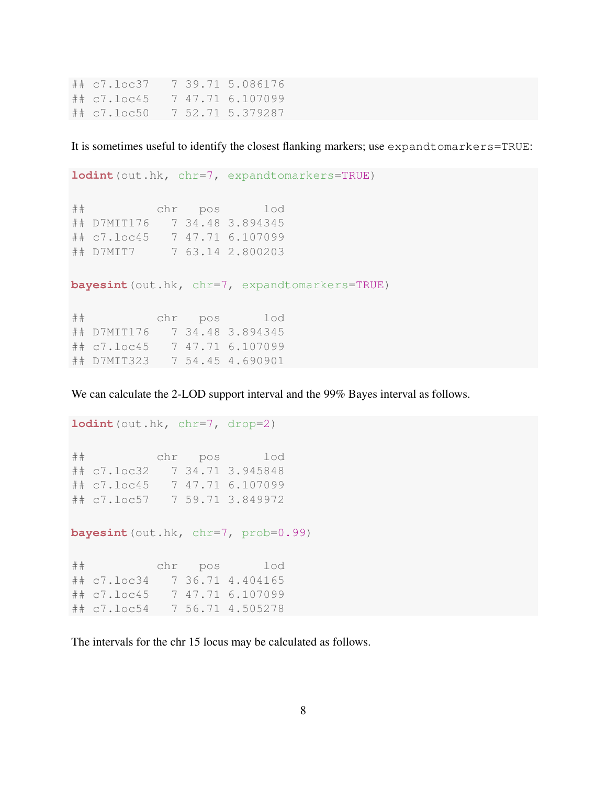## c7.loc37 7 39.71 5.086176 ## c7.loc45 7 47.71 6.107099 ## c7.loc50 7 52.71 5.379287

It is sometimes useful to identify the closest flanking markers; use expandtomarkers=TRUE:

```
lodint(out.hk, chr=7, expandtomarkers=TRUE)
## chr pos lod
## D7MIT176 7 34.48 3.894345
## c7.loc45 7 47.71 6.107099
## D7MIT7 7 63.14 2.800203
bayesint(out.hk, chr=7, expandtomarkers=TRUE)
## chr pos lod
## D7MIT176 7 34.48 3.894345
## c7.loc45 7 47.71 6.107099
## D7MIT323 7 54.45 4.690901
```
We can calculate the 2-LOD support interval and the 99% Bayes interval as follows.

```
lodint (out.hk, chr=7, drop=2)
## chr pos lod
## c7.loc32 7 34.71 3.945848
## c7.loc45 7 47.71 6.107099
## c7.loc57 7 59.71 3.849972
bayesint (out.hk, chr=7, prob=0.99)
## chr pos lod
## c7.loc34 7 36.71 4.404165
## c7.loc45 7 47.71 6.107099
```
## c7.loc54 7 56.71 4.505278

The intervals for the chr 15 locus may be calculated as follows.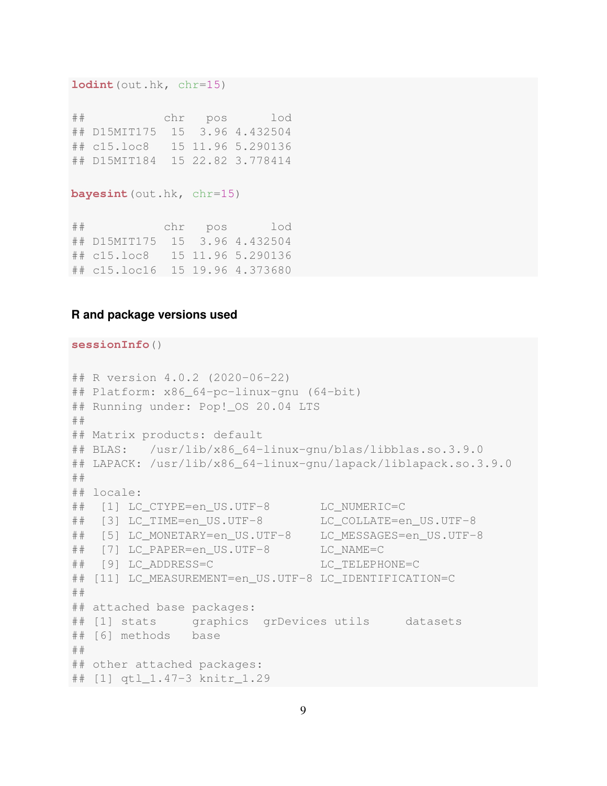```
lodint(out.hk, chr=15)
```
## chr pos lod ## D15MIT175 15 3.96 4.432504 ## c15.loc8 15 11.96 5.290136 ## D15MIT184 15 22.82 3.778414

```
bayesint(out.hk, chr=15)
```
## chr pos lod ## D15MIT175 15 3.96 4.432504 ## c15.loc8 15 11.96 5.290136 ## c15.loc16 15 19.96 4.373680

### **R and package versions used**

#### **sessionInfo**()

```
## R version 4.0.2 (2020-06-22)
## Platform: x86_64-pc-linux-gnu (64-bit)
## Running under: Pop!_OS 20.04 LTS
##
## Matrix products: default
## BLAS: /usr/lib/x86_64-linux-gnu/blas/libblas.so.3.9.0
## LAPACK: /usr/lib/x86_64-linux-gnu/lapack/liblapack.so.3.9.0
##
## locale:
## [1] LC_CTYPE=en_US.UTF-8 LC_NUMERIC=C
## [3] LC_TIME=en_US.UTF-8 LC_COLLATE=en_US.UTF-8
## [5] LC_MONETARY=en_US.UTF-8 LC_MESSAGES=en_US.UTF-8
## [7] LC_PAPER=en_US.UTF-8 LC_NAME=C
## [9] LC_ADDRESS=C LC_TELEPHONE=C
## [11] LC_MEASUREMENT=en_US.UTF-8 LC_IDENTIFICATION=C
##
## attached base packages:
## [1] stats graphics grDevices utils datasets
## [6] methods base
##
## other attached packages:
## [1] qtl_1.47-3 knitr_1.29
```